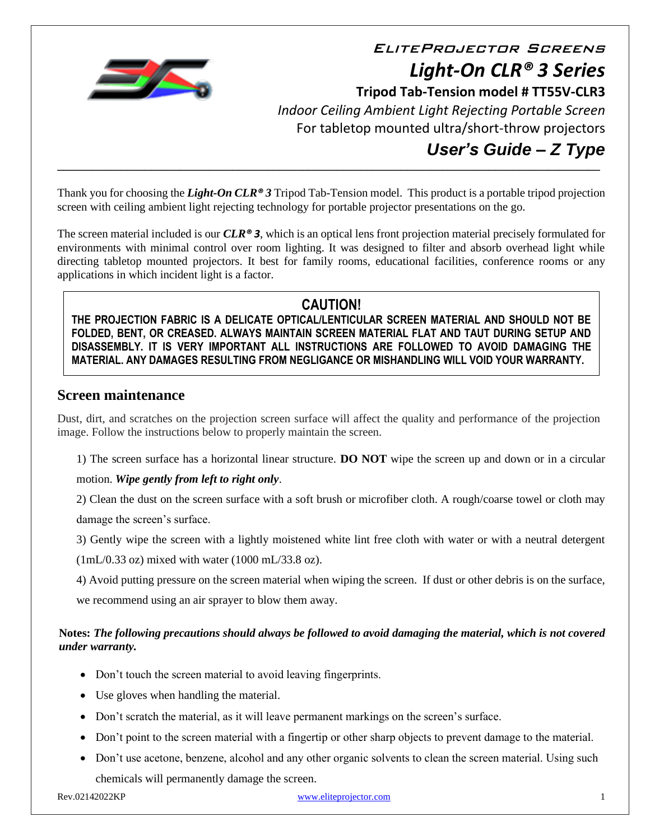

EliteProjector Screens *Light-On CLR® 3 Series*  **Tripod Tab-Tension model # TT55V-CLR3** *Indoor Ceiling Ambient Light Rejecting Portable Screen* For tabletop mounted ultra/short-throw projectors *User's Guide – Z Type*

Thank you for choosing the *Light-On CLR® 3* Tripod Tab-Tension model. This product is a portable tripod projection screen with ceiling ambient light rejecting technology for portable projector presentations on the go.

**\_\_\_\_\_\_\_\_\_\_\_\_\_\_\_\_\_\_\_\_\_\_\_\_\_\_\_\_\_\_\_\_\_\_\_\_\_\_\_\_\_\_\_\_\_\_\_\_\_\_\_\_\_\_\_\_\_\_\_\_\_\_\_\_\_\_\_\_\_\_\_\_\_\_\_\_\_\_\_\_\_\_\_\_\_\_\_\_\_\_\_\_\_**

The screen material included is our *CLR® 3*, which is an optical lens front projection material precisely formulated for environments with minimal control over room lighting. It was designed to filter and absorb overhead light while directing tabletop mounted projectors. It best for family rooms, educational facilities, conference rooms or any applications in which incident light is a factor.

# **CAUTION!**

**THE PROJECTION FABRIC IS A DELICATE OPTICAL/LENTICULAR SCREEN MATERIAL AND SHOULD NOT BE FOLDED, BENT, OR CREASED. ALWAYS MAINTAIN SCREEN MATERIAL FLAT AND TAUT DURING SETUP AND DISASSEMBLY. IT IS VERY IMPORTANT ALL INSTRUCTIONS ARE FOLLOWED TO AVOID DAMAGING THE MATERIAL. ANY DAMAGES RESULTING FROM NEGLIGANCE OR MISHANDLING WILL VOID YOUR WARRANTY.**

## **Screen maintenance**

Dust, dirt, and scratches on the projection screen surface will affect the quality and performance of the projection image. Follow the instructions below to properly maintain the screen.

1) The screen surface has a horizontal linear structure. **DO NOT** wipe the screen up and down or in a circular

## motion. *Wipe gently from left to right only*.

2) Clean the dust on the screen surface with a soft brush or microfiber cloth. A rough/coarse towel or cloth may

damage the screen's surface.

3) Gently wipe the screen with a lightly moistened white lint free cloth with water or with a neutral detergent

 $(1mL/0.33 \text{ oz})$  mixed with water  $(1000 \text{ mL}/33.8 \text{ oz})$ .

4) Avoid putting pressure on the screen material when wiping the screen. If dust or other debris is on the surface, we recommend using an air sprayer to blow them away.

## **Notes:** *The following precautions should always be followed to avoid damaging the material, which is not covered under warranty.*

- Don't touch the screen material to avoid leaving fingerprints.
- Use gloves when handling the material.
- Don't scratch the material, as it will leave permanent markings on the screen's surface.
- Don't point to the screen material with a fingertip or other sharp objects to prevent damage to the material.
- Don't use acetone, benzene, alcohol and any other organic solvents to clean the screen material. Using such chemicals will permanently damage the screen.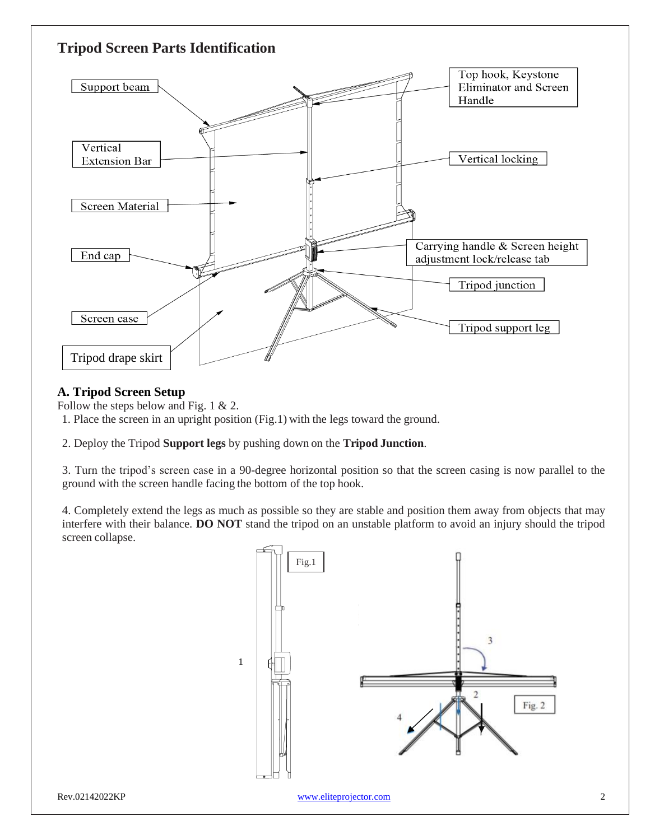

## **A. Tripod Screen Setup**

Follow the steps below and Fig. 1 & 2.

1. Place the screen in an upright position (Fig.1) with the legs toward the ground.

2. Deploy the Tripod **Support legs** by pushing down on the **Tripod Junction**.

3. Turn the tripod's screen case in a 90-degree horizontal position so that the screen casing is now parallel to the ground with the screen handle facing the bottom of the top hook.

4. Completely extend the legs as much as possible so they are stable and position them away from objects that may interfere with their balance. **DO NOT** stand the tripod on an unstable platform to avoid an injury should the tripod screen collapse.

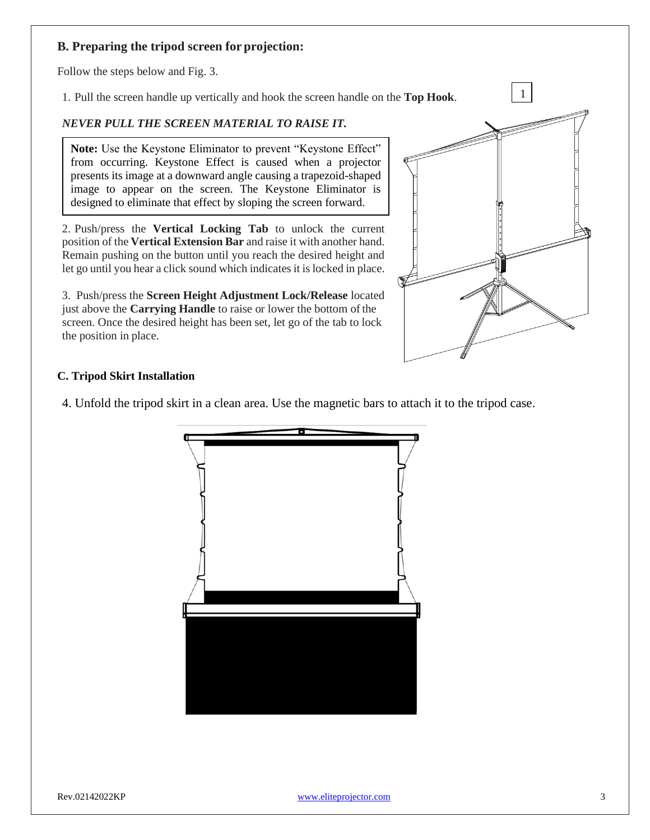## **B. Preparing the tripod screen for projection:**

Follow the steps below and Fig. 3.

1. Pull the screen handle up vertically and hook the screen handle on the **Top Hook**.

### *NEVER PULL THE SCREEN MATERIAL TO RAISE IT.*

**Note:** Use the Keystone Eliminator to prevent "Keystone Effect" from occurring. Keystone Effect is caused when a projector presents its image at a downward angle causing a trapezoid-shaped image to appear on the screen. The Keystone Eliminator is designed to eliminate that effect by sloping the screen forward.

2. Push/press the **Vertical Locking Tab** to unlock the current position of the **Vertical Extension Bar** and raise it with another hand. Remain pushing on the button until you reach the desired height and let go until you hear a click sound which indicates it is locked in place.

3. Push/press the **Screen Height Adjustment Lock/Release** located just above the **Carrying Handle** to raise or lower the bottom of the screen. Once the desired height has been set, let go of the tab to lock the position in place.



#### **C. Tripod Skirt Installation**

4. Unfold the tripod skirt in a clean area. Use the magnetic bars to attach it to the tripod case.

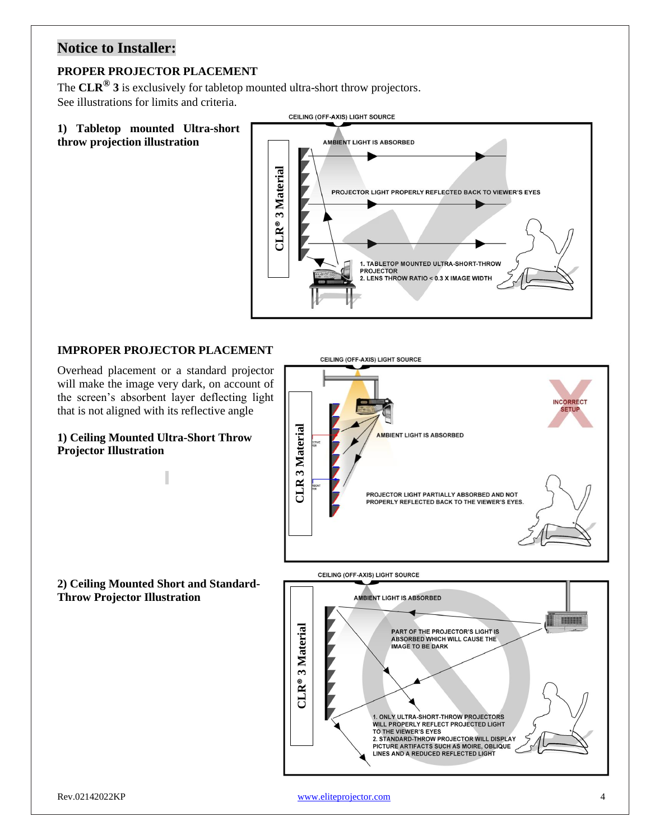# **Notice to Installer:**

## **PROPER PROJECTOR PLACEMENT**

The **CLR® 3** is exclusively for tabletop mounted ultra-short throw projectors. See illustrations for limits and criteria.

**1) Tabletop mounted Ultra-short** 

**throw projection illustration**



CEILING (OFF-AXIS) LIGHT SOURCE

## **IMPROPER PROJECTOR PLACEMENT**

Overhead placement or a standard projector will make the image very dark, on account of the screen's absorbent layer deflecting light that is not aligned with its reflective angle

**1) Ceiling Mounted Ultra-Short Throw Projector Illustration**

**2) Ceiling Mounted Short and Standard-Throw Projector Illustration**



Rev.02142022KP [www.eliteprojector.com](http://www.eliteprojector.com/) 4